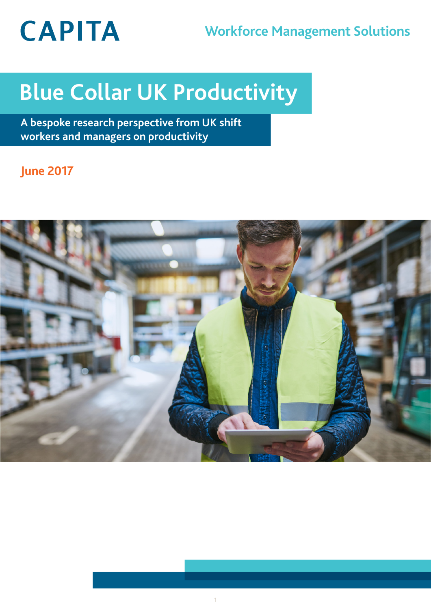# **CAPITA**

# **Workforce Management Solutions**

# **Blue Collar UK Productivity**

**A bespoke research perspective from UK shift workers and managers on productivity**

# **June 2017**

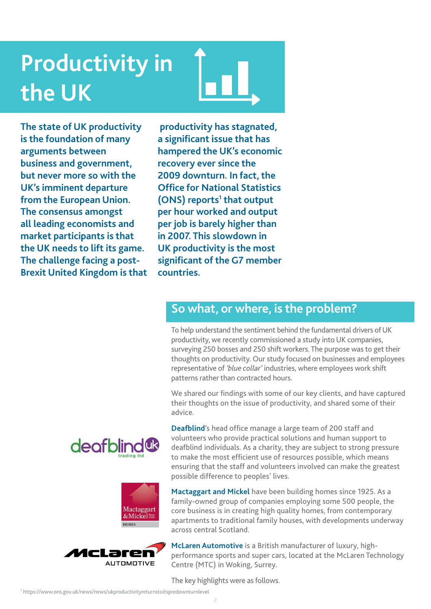# **Productivity in the UK**

**The state of UK productivity is the foundation of many arguments between business and government, but never more so with the UK's imminent departure from the European Union. The consensus amongst all leading economists and market participants is that the UK needs to lift its game. The challenge facing a post-Brexit United Kingdom is that**

 **productivity has stagnated, a significant issue that has hampered the UK's economic recovery ever since the 2009 downturn. In fact, the Office for National Statistics**  (ONS) reports<sup>1</sup> that output **per hour worked and output per job is barely higher than in 2007. This slowdown in UK productivity is the most significant of the G7 member countries.** 

## **So what, or where, is the problem?**

To help understand the sentiment behind the fundamental drivers of UK productivity, we recently commissioned a study into UK companies, surveying 250 bosses and 250 shift workers. The purpose was to get their thoughts on productivity. Our study focused on businesses and employees representative of *'blue collar'* industries, where employees work shift patterns rather than contracted hours.

We shared our findings with some of our key clients, and have captured their thoughts on the issue of productivity, and shared some of their advice.



**Mactaggart and Mickel** have been building homes since 1925. As a family-owned group of companies employing some 500 people, the core business is in creating high quality homes, from contemporary apartments to traditional family houses, with developments underway





deafblind

**McLaren Automotive** is a British manufacturer of luxury, highperformance sports and super cars, located at the McLaren Technology Centre (MTC) in Woking, Surrey.

The key highlights were as follows.

across central Scotland.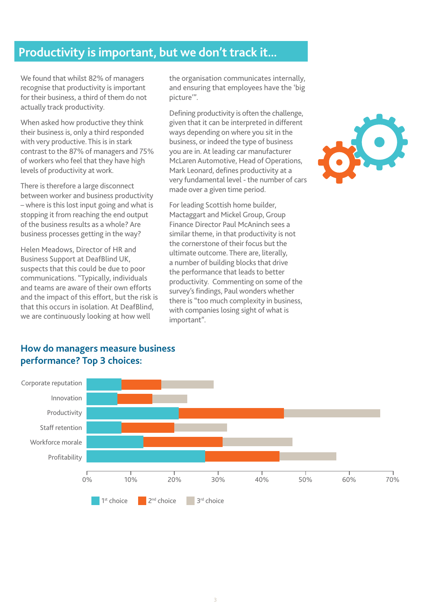## **Productivity is important, but we don't track it...**

We found that whilst 82% of managers recognise that productivity is important for their business, a third of them do not actually track productivity.

When asked how productive they think their business is, only a third responded with very productive. This is in stark contrast to the 87% of managers and 75% of workers who feel that they have high levels of productivity at work.

There is therefore a large disconnect between worker and business productivity – where is this lost input going and what is stopping it from reaching the end output of the business results as a whole? Are business processes getting in the way?

Helen Meadows, Director of HR and Business Support at DeafBlind UK, suspects that this could be due to poor communications. "Typically, individuals and teams are aware of their own efforts and the impact of this effort, but the risk is that this occurs in isolation. At DeafBlind, we are continuously looking at how well

the organisation communicates internally, and ensuring that employees have the 'big picture'".

Defining productivity is often the challenge, given that it can be interpreted in different ways depending on where you sit in the business, or indeed the type of business you are in. At leading car manufacturer McLaren Automotive, Head of Operations, Mark Leonard, defines productivity at a very fundamental level - the number of cars made over a given time period.

For leading Scottish home builder, Mactaggart and Mickel Group, Group Finance Director Paul McAninch sees a similar theme, in that productivity is not the cornerstone of their focus but the ultimate outcome. There are, literally, a number of building blocks that drive the performance that leads to better productivity. Commenting on some of the survey's findings, Paul wonders whether there is "too much complexity in business, with companies losing sight of what is important".



#### **How do managers measure business performance? Top 3 choices:**

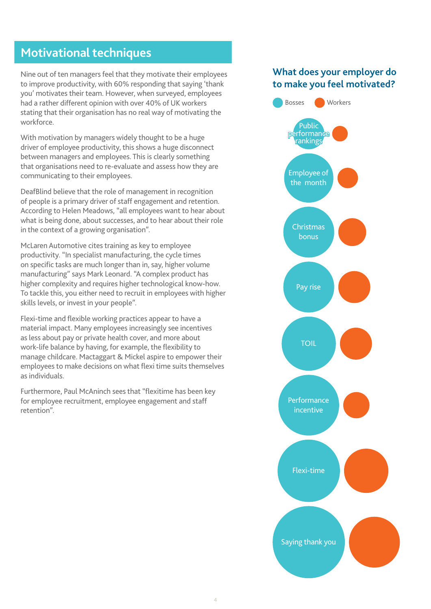## **Motivational techniques**

Nine out of ten managers feel that they motivate their employees to improve productivity, with 60% responding that saying 'thank you' motivates their team. However, when surveyed, employees had a rather different opinion with over 40% of UK workers stating that their organisation has no real way of motivating the workforce.

With motivation by managers widely thought to be a huge driver of employee productivity, this shows a huge disconnect between managers and employees. This is clearly something that organisations need to re-evaluate and assess how they are communicating to their employees.

DeafBlind believe that the role of management in recognition of people is a primary driver of staff engagement and retention. According to Helen Meadows, "all employees want to hear about what is being done, about successes, and to hear about their role in the context of a growing organisation".

McLaren Automotive cites training as key to employee productivity. "In specialist manufacturing, the cycle times on specific tasks are much longer than in, say, higher volume manufacturing" says Mark Leonard. "A complex product has higher complexity and requires higher technological know-how. To tackle this, you either need to recruit in employees with higher skills levels, or invest in your people".

Flexi-time and flexible working practices appear to have a material impact. Many employees increasingly see incentives as less about pay or private health cover, and more about work-life balance by having, for example, the flexibility to manage childcare. Mactaggart & Mickel aspire to empower their employees to make decisions on what flexi time suits themselves as individuals.

Furthermore, Paul McAninch sees that "flexitime has been key for employee recruitment, employee engagement and staff retention".

### **What does your employer do to make you feel motivated?**

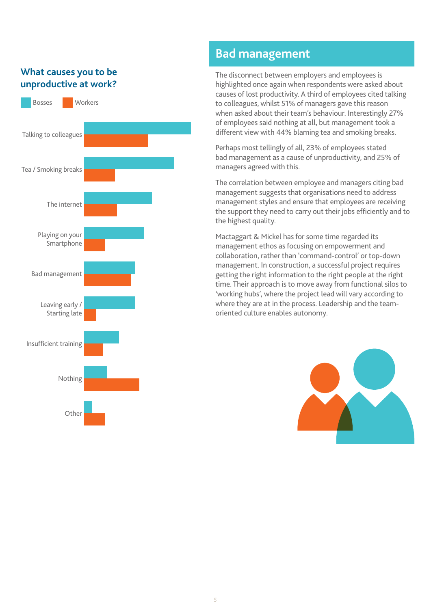### **What causes you to be unproductive at work?**



## **Bad management**

The disconnect between employers and employees is highlighted once again when respondents were asked about causes of lost productivity. A third of employees cited talking to colleagues, whilst 51% of managers gave this reason when asked about their team's behaviour. Interestingly 27% of employees said nothing at all, but management took a different view with 44% blaming tea and smoking breaks.

Perhaps most tellingly of all, 23% of employees stated bad management as a cause of unproductivity, and 25% of managers agreed with this.

The correlation between employee and managers citing bad management suggests that organisations need to address management styles and ensure that employees are receiving the support they need to carry out their jobs efficiently and to the highest quality.

Mactaggart & Mickel has for some time regarded its management ethos as focusing on empowerment and collaboration, rather than 'command-control' or top-down management. In construction, a successful project requires getting the right information to the right people at the right time. Their approach is to move away from functional silos to 'working hubs', where the project lead will vary according to where they are at in the process. Leadership and the teamoriented culture enables autonomy.

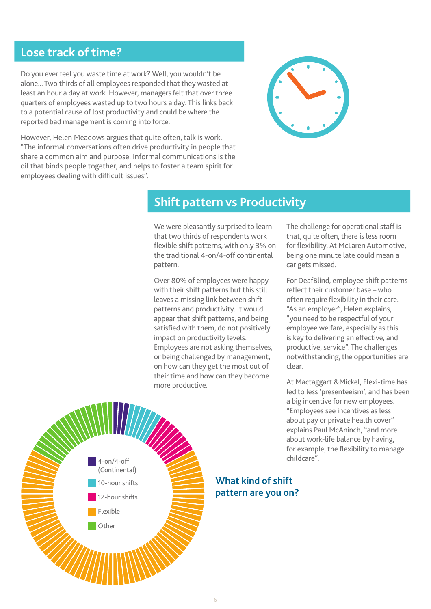## **Lose track of time?**

Do you ever feel you waste time at work? Well, you wouldn't be alone... Two thirds of all employees responded that they wasted at least an hour a day at work. However, managers felt that over three quarters of employees wasted up to two hours a day. This links back to a potential cause of lost productivity and could be where the reported bad management is coming into force.



However, Helen Meadows argues that quite often, talk is work. "The informal conversations often drive productivity in people that share a common aim and purpose. Informal communications is the oil that binds people together, and helps to foster a team spirit for employees dealing with difficult issues".

### **Shift pattern vs Productivity**

We were pleasantly surprised to learn that two thirds of respondents work flexible shift patterns, with only 3% on the traditional 4-on/4-off continental pattern.

Over 80% of employees were happy with their shift patterns but this still leaves a missing link between shift patterns and productivity. It would appear that shift patterns, and being satisfied with them, do not positively impact on productivity levels. Employees are not asking themselves, or being challenged by management, on how can they get the most out of their time and how can they become more productive.

The challenge for operational staff is that, quite often, there is less room for flexibility. At McLaren Automotive, being one minute late could mean a car gets missed.

For DeafBlind, employee shift patterns reflect their customer base – who often require flexibility in their care. "As an employer", Helen explains, "you need to be respectful of your employee welfare, especially as this is key to delivering an effective, and productive, service". The challenges notwithstanding, the opportunities are clear.

At Mactaggart &Mickel, Flexi-time has led to less 'presenteeism', and has been a big incentive for new employees. "Employees see incentives as less about pay or private health cover" explains Paul McAninch, "and more about work-life balance by having, for example, the flexibility to manage childcare".



**What kind of shift pattern are you on?**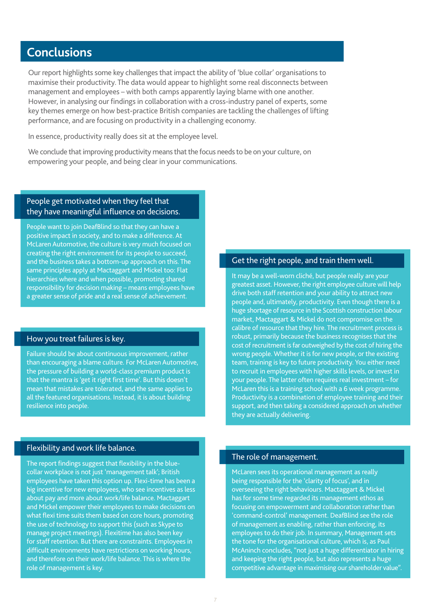## **Conclusions**

Our report highlights some key challenges that impact the ability of 'blue collar' organisations to maximise their productivity. The data would appear to highlight some real disconnects between management and employees – with both camps apparently laying blame with one another. However, in analysing our findings in collaboration with a cross-industry panel of experts, some key themes emerge on how best-practice British companies are tackling the challenges of lifting performance, and are focusing on productivity in a challenging economy.

In essence, productivity really does sit at the employee level.

We conclude that improving productivity means that the focus needs to be on your culture, on empowering your people, and being clear in your communications.

#### People get motivated when they feel that they have meaningful influence on decisions.

People want to join DeafBlind so that they can have a positive impact in society, and to make a difference. At McLaren Automotive, the culture is very much focused on creating the right environment for its people to succeed, and the business takes a bottom-up approach on this. The same principles apply at Mactaggart and Mickel too: Flat hierarchies where and when possible, promoting shared responsibility for decision making – means employees have a greater sense of pride and a real sense of achievement.

#### How you treat failures is key.

Failure should be about continuous improvement, rather than encouraging a blame culture. For McLaren Automotive, the pressure of building a world-class premium product is that the mantra is 'get it right first time'. But this doesn't mean that mistakes are tolerated, and the same applies to all the featured organisations. Instead, it is about building resilience into people.

#### Get the right people, and train them well.

It may be a well-worn cliché, but people really are your greatest asset. However, the right employee culture will help drive both staff retention and your ability to attract new people and, ultimately, productivity. Even though there is a huge shortage of resource in the Scottish construction labour market, Mactaggart & Mickel do not compromise on the calibre of resource that they hire. The recruitment process is robust, primarily because the business recognises that the cost of recruitment is far outweighed by the cost of hiring the wrong people. Whether it is for new people, or the existing team, training is key to future productivity. You either need to recruit in employees with higher skills levels, or invest in your people. The latter often requires real investment – for McLaren this is a training school with a 6 week programme. Productivity is a combination of employee training and their support, and then taking a considered approach on whether they are actually delivering.

#### Flexibility and work life balance.

The report findings suggest that flexibility in the bluecollar workplace is not just 'management talk'; British employees have taken this option up. Flexi-time has been a big incentive for new employees, who see incentives as less about pay and more about work/life balance. Mactaggart and Mickel empower their employees to make decisions on what flexi time suits them based on core hours, promoting the use of technology to support this (such as Skype to manage project meetings). Flexitime has also been key for staff retention. But there are constraints. Employees in difficult environments have restrictions on working hours, and therefore on their work/life balance. This is where the role of management is key.

#### The role of management.

McLaren sees its operational management as really being responsible for the 'clarity of focus', and in overseeing the right behaviours. Mactaggart & Mickel has for some time regarded its management ethos as focusing on empowerment and collaboration rather than 'command-control' management. DeafBlind see the role of management as enabling, rather than enforcing, its employees to do their job. In summary, Management sets the tone for the organisational culture, which is, as Paul McAninch concludes, "not just a huge differentiator in hiring and keeping the right people, but also represents a huge competitive advantage in maximising our shareholder value".